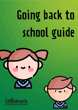# Going back to school guide

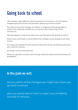# Going back to school

Life has been really different recently because of coronavirus. Lots of children stopped going into school and we had to spend more time at home.

But after the summer holidays, all children in England will be going back to school. This is because children are at very low risk of becoming ill from coronavirus

We have spoken to lots of you about how you feel about going back to school.

Some of you went back to school before the holidays, so you already know what it's like.

For those who stayed at home, we know that some of you are feeling excited but also a little bit nervous.

It's totally normal to feel like that.

When you go back to school, some things will be the same, and some things will be different.

# In this guide we will:

tell you some of the changes you might see when you go back to school

give you some tips on how to cope if you're feeling worried or nervous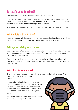# Is it safe to go to school?

Children are at very low risk of becoming ill from coronavirus.

Coronavirus hasn't gone away completely, but because we all stayed at home there is a lot less of it around at the moment. This means that the Government has decided it is safe for children to go back to school.

To make sure it is as safe as possible, there will be some changes to school life.

# What will it be like at school?

Not every school will do the same thing. Your school should tell you what will be the same and what will be different, and if they don't, it's OK to ask them.

# Getting used to being back at school

You might be excited to see your friends again, but some of you might find that when you get to school you miss your mum / dad / carers a bit more than you expected. That's totally OK.

Add that to the changes you're seeing at school and things might feel a bit much to start off with. But give yourself some time and you'll soon get used to the changes.

# Will I have to wear a mask?

The Government has said you don't have to wear masks in classrooms. There may be times when teachers do wear masks.

In secondary schools, in areas where new restrictions have been put in place, you may be asked to wear a mask in confined areas such as corridors and common spaces. This is an added precaution to keep everyone safe.

You might have to wear a mask to and from school if you are aged 11 or older.

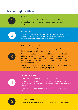### How things might be different

#### **Start time**

You might be asked to start school at a different time than you are used to. This is to help keep people apart as much as possible.

#### **Hand washing**

You will be asked to wash your hands regularly. This includes when you arrive, when you return from breaks, when you change room and before and after eating.

#### **Who you hang out with**

One way to reduce the risk of people passing on the virus is to limit who you come into contact with.

You may be put into groups or 'bubbles' and you will not be able to mix with people who are not in your group. Depending on your school, this group might be your class, or even your whole year group. You will probably have your breaks and lunch at different times.

The older you are the more likely you will be asked to keep your distance from other people in your group.

#### **In your classroom**



You might find some of your class sizes are smaller.

In the classroom, your school might change the desk layout so that you are all facing forward or there is more space between desks.

There may be some games, toys and equipment that you can't use.



#### **Getting around**

There may be a one-way system to move around the school.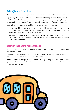# Getting to and from school

The Government is asking everyone who can walk or cycle to school to do so.

If you do get a bus that is for school children only and you do not mix with the public, your school should try and arrange for you to travel with people in your group or bubble. You don't have to socially distance, but if you can, you should.

You will have to use hand sanitizer before and after your journey.

If you are aged 11 or older and you are mixing with people outside your group or people who you don't normally meet, you might be asked to wear a face mask, just like you have to when you go into a shop.

If you take a bus or a train that also carries people who don't go to your school, you should try to stay 2 meters away from other passengers and wear a mask if you are aged 11 or older.

# Catching up on work you have missed

A lot of children are worried about catching up on they have missed while they have been at home.

Remember that many of your friends will be feeling the same, and that most other children were also out of school for six months.

The Government has given schools some money to help children catch up, and you can ask your Mum, Dad or carer to ask your school what support is available if you are feeling worried.

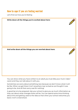# How to cope if you are feeling worried

Let's find out how you're feeling

**Write down all the things you're excited about here:**

**And write down all the things you are worried about here:**



Sometimes we worry about something new because we don't know what it will be like. When we get there it isn't anywhere near as bad as we thought it was going to be. And all that worry was for nothing!

A good tip is to be prepared. Ask your school to give you as much information as they can about what changes there will be. You can spend some time thinking about this and getting used to the idea so that when your school welcomes you back, it isn't a total shock.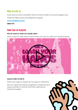# Who to talk to

If you have a school counsellor they are there to listen to you and support you. Child line offers online and telephone support

**[www.childline.org.uk](http://www.childline.org.uk/)**

**0800 1111**

# Some tips on hygiene

#### **We all need to wash our hands often**

Click or tap the video below which shows you how to wash your hands properly.



#### **Catch it! Bin it! Kill it!**

When we cough or sneeze we can pass on infections.

We can reduce the risk by coughing or sneezing into a tissue, putting it in the bin and then washing our hands thoroughly.